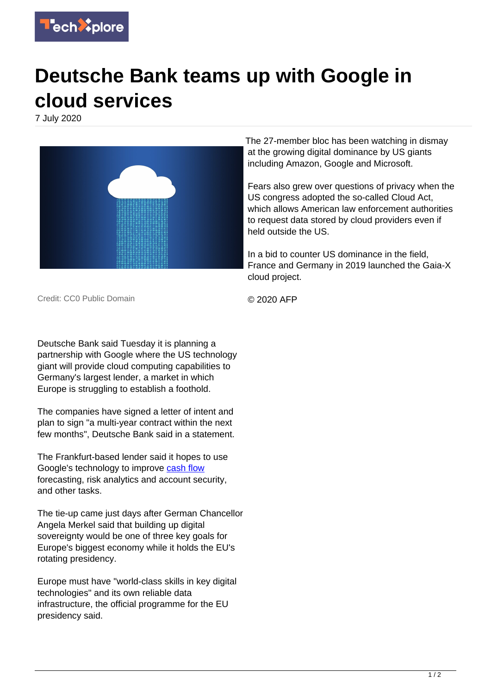

## **Deutsche Bank teams up with Google in cloud services**

7 July 2020



The 27-member bloc has been watching in dismay at the growing digital dominance by US giants including Amazon, Google and Microsoft.

Fears also grew over questions of privacy when the US congress adopted the so-called Cloud Act, which allows American law enforcement authorities to request data stored by cloud providers even if held outside the US.

In a bid to counter US dominance in the field, France and Germany in 2019 launched the Gaia-X cloud project.

Credit: CC0 Public Domain

© 2020 AFP

Deutsche Bank said Tuesday it is planning a partnership with Google where the US technology giant will provide cloud computing capabilities to Germany's largest lender, a market in which Europe is struggling to establish a foothold.

The companies have signed a letter of intent and plan to sign "a multi-year contract within the next few months", Deutsche Bank said in a statement.

The Frankfurt-based lender said it hopes to use Google's technology to improve [cash flow](https://techxplore.com/tags/cash+flow/) forecasting, risk analytics and account security, and other tasks.

The tie-up came just days after German Chancellor Angela Merkel said that building up digital sovereignty would be one of three key goals for Europe's biggest economy while it holds the EU's rotating presidency.

Europe must have "world-class skills in key digital technologies" and its own reliable data infrastructure, the official programme for the EU presidency said.